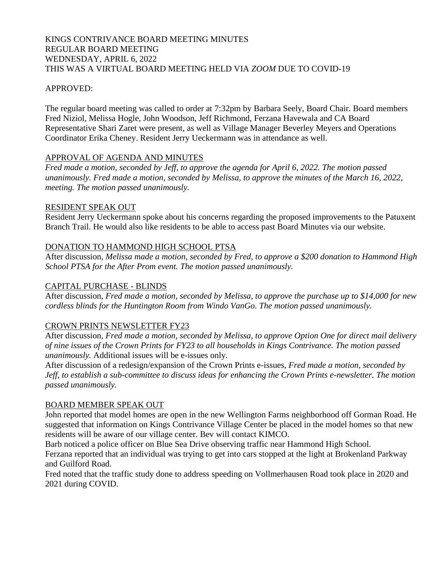# KINGS CONTRIVANCE BOARD MEETING MINUTES REGULAR BOARD MEETING WEDNESDAY, APRIL 6, 2022 THIS WAS A VIRTUAL BOARD MEETING HELD VIA *ZOOM* DUE TO COVID-19

# APPROVED:

The regular board meeting was called to order at 7:32pm by Barbara Seely, Board Chair. Board members Fred Niziol, Melissa Hogle, John Woodson, Jeff Richmond, Ferzana Havewala and CA Board Representative Shari Zaret were present, as well as Village Manager Beverley Meyers and Operations Coordinator Erika Cheney. Resident Jerry Ueckermann was in attendance as well.

# APPROVAL OF AGENDA AND MINUTES

*Fred made a motion, seconded by Jeff, to approve the agenda for April 6, 2022. The motion passed unanimously. Fred made a motion, seconded by Melissa, to approve the minutes of the March 16, 2022, meeting. The motion passed unanimously.*

#### RESIDENT SPEAK OUT

Resident Jerry Ueckermann spoke about his concerns regarding the proposed improvements to the Patuxent Branch Trail. He would also like residents to be able to access past Board Minutes via our website.

# DONATION TO HAMMOND HIGH SCHOOL PTSA

After discussion*, Melissa made a motion, seconded by Fred, to approve a \$200 donation to Hammond High School PTSA for the After Prom event. The motion passed unanimously.*

# CAPITAL PURCHASE - BLINDS

After discussion, *Fred made a motion, seconded by Melissa, to approve the purchase up to \$14,000 for new cordless blinds for the Huntington Room from Windo VanGo. The motion passed unanimously.*

# CROWN PRINTS NEWSLETTER FY23

After discussion*, Fred made a motion, seconded by Melissa, to approve Option One for direct mail delivery of nine issues of the Crown Prints for FY23 to all households in Kings Contrivance. The motion passed unanimously.* Additional issues will be e-issues only.

After discussion of a redesign/expansion of the Crown Prints e-issues, *Fred made a motion, seconded by Jeff, to establish a sub-committee to discuss ideas for enhancing the Crown Prints e-newsletter. The motion passed unanimously.*

# BOARD MEMBER SPEAK OUT

John reported that model homes are open in the new Wellington Farms neighborhood off Gorman Road. He suggested that information on Kings Contrivance Village Center be placed in the model homes so that new residents will be aware of our village center. Bev will contact KIMCO.

Barb noticed a police officer on Blue Sea Drive observing traffic near Hammond High School.

Ferzana reported that an individual was trying to get into cars stopped at the light at Brokenland Parkway and Guilford Road.

Fred noted that the traffic study done to address speeding on Vollmerhausen Road took place in 2020 and 2021 during COVID.